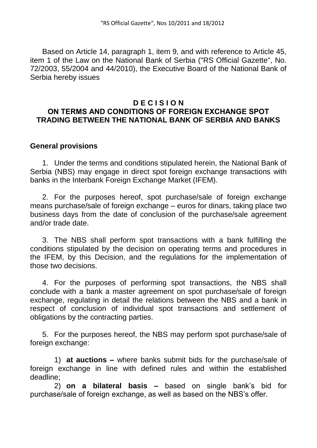Based on Article 14, paragraph 1, item 9, and with reference to Article 45, item 1 of the Law on the National Bank of Serbia ("RS Official Gazette", No. 72/2003, 55/2004 and 44/2010), the Executive Board of the National Bank of Serbia hereby issues

## **D E C I S I O N ОN TERMS AND CONDITIONS OF FOREIGN EXCHANGE SPOT TRADING BETWEEN THE NATIONAL BANK OF SERBIA AND BANKS**

## **General provisions**

1. Under the terms and conditions stipulated herein, the National Bank of Serbia (NBS) may engage in direct spot foreign exchange transactions with banks in the Interbank Foreign Exchange Market (IFEM).

2. For the purposes hereof, spot purchase/sale of foreign exchange means purchase/sale of foreign exchange – euros for dinars, taking place two business days from the date of conclusion of the purchase/sale agreement and/or trade date.

3. The NBS shall perform spot transactions with a bank fulfilling the conditions stipulated by the decision on operating terms and procedures in the IFEM, by this Decision, and the regulations for the implementation of those two decisions.

4. For the purposes of performing spot transactions, the NBS shall conclude with a bank a master agreement on spot purchase/sale of foreign exchange, regulating in detail the relations between the NBS and a bank in respect of conclusion of individual spot transactions and settlement of obligations by the contracting parties.

5. For the purposes hereof, the NBS may perform spot purchase/sale of foreign exchange:

1) **at auctions –** where banks submit bids for the purchase/sale of foreign exchange in line with defined rules and within the established deadline;

2) **on a bilateral basis –** based on single bank's bid for purchase/sale of foreign exchange, as well as based on the NBS's offer.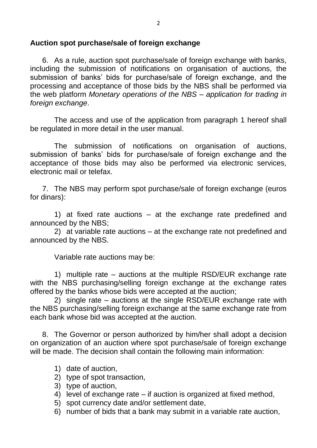# **Auction spot purchase/sale of foreign exchange**

6. As a rule, auction spot purchase/sale of foreign exchange with banks, including the submission of notifications on organisation of auctions, the submission of banks' bids for purchase/sale of foreign exchange, and the processing and acceptance of those bids by the NBS shall be performed via the web platform *Monetary operations of the NBS – application for trading in foreign exchange*.

The access and use of the application from paragraph 1 hereof shall be regulated in more detail in the user manual.

The submission of notifications on organisation of auctions, submission of banks' bids for purchase/sale of foreign exchange and the acceptance of those bids may also be performed via electronic services, electronic mail or telefax.

7. The NBS may perform spot purchase/sale of foreign exchange (euros for dinars):

1) at fixed rate auctions – at the exchange rate predefined and announced by the NBS;

2) at variable rate auctions – at the exchange rate not predefined and announced by the NBS.

Variable rate auctions may be:

1) multiple rate – auctions at the multiple RSD/EUR exchange rate with the NBS purchasing/selling foreign exchange at the exchange rates offered by the banks whose bids were accepted at the auction;

2) single rate – auctions at the single RSD/EUR exchange rate with the NBS purchasing/selling foreign exchange at the same exchange rate from each bank whose bid was accepted at the auction.

8. The Governor or person authorized by him/her shall adopt a decision on organization of an auction where spot purchase/sale of foreign exchange will be made. The decision shall contain the following main information:

- 1) date of auction,
- 2) type of spot transaction,
- 3) type of auction,
- 4) level of exchange rate if auction is organized at fixed method,
- 5) spot currency date and/or settlement date,
- 6) number of bids that a bank may submit in a variable rate auction,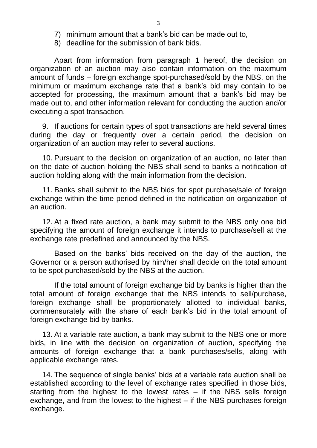- 7) minimum amount that a bank's bid can be made out to,
- 8) deadline for the submission of bank bids.

Apart from information from paragraph 1 hereof, the decision on organization of an auction may also contain information on the maximum amount of funds – foreign exchange spot-purchased/sold by the NBS, on the minimum or maximum exchange rate that a bank's bid may contain to be accepted for processing, the maximum amount that a bank's bid may be made out to, and other information relevant for conducting the auction and/or executing a spot transaction.

9. If auctions for certain types of spot transactions are held several times during the day or frequently over a certain period, the decision on organization of an auction may refer to several auctions.

10. Pursuant to the decision on organization of an auction, no later than on the date of auction holding the NBS shall send to banks a notification of auction holding along with the main information from the decision.

11. Banks shall submit to the NBS bids for spot purchase/sale of foreign exchange within the time period defined in the notification on organization of an auction.

12. At a fixed rate auction, a bank may submit to the NBS only one bid specifying the amount of foreign exchange it intends to purchase/sell at the exchange rate predefined and announced by the NBS.

Based on the banks' bids received on the day of the auction, the Governor or a person authorised by him/her shall decide on the total amount to be spot purchased/sold by the NBS at the auction.

If the total amount of foreign exchange bid by banks is higher than the total amount of foreign exchange that the NBS intends to sell/purchase, foreign exchange shall be proportionately allotted to individual banks, commensurately with the share of each bank's bid in the total amount of foreign exchange bid by banks.

13. At a variable rate auction, a bank may submit to the NBS one or more bids, in line with the decision on organization of auction, specifying the amounts of foreign exchange that a bank purchases/sells, along with applicable exchange rates.

14. The sequence of single banks' bids at a variable rate auction shall be established according to the level of exchange rates specified in those bids, starting from the highest to the lowest rates – if the NBS sells foreign exchange, and from the lowest to the highest – if the NBS purchases foreign exchange.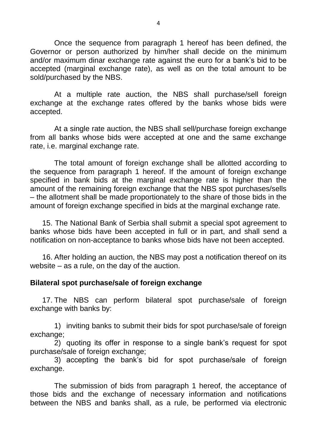Once the sequence from paragraph 1 hereof has been defined, the Governor or person authorized by him/her shall decide on the minimum and/or maximum dinar exchange rate against the euro for a bank's bid to be accepted (marginal exchange rate), as well as on the total amount to be sold/purchased by the NBS.

At a multiple rate auction, the NBS shall purchase/sell foreign exchange at the exchange rates offered by the banks whose bids were accepted.

At a single rate auction, the NBS shall sell/purchase foreign exchange from all banks whose bids were accepted at one and the same exchange rate, i.e. marginal exchange rate.

The total amount of foreign exchange shall be allotted according to the sequence from paragraph 1 hereof. If the amount of foreign exchange specified in bank bids at the marginal exchange rate is higher than the amount of the remaining foreign exchange that the NBS spot purchases/sells – the allotment shall be made proportionately to the share of those bids in the amount of foreign exchange specified in bids at the marginal exchange rate.

15. The National Bank of Serbia shall submit a special spot agreement to banks whose bids have been accepted in full or in part, and shall send a notification on non-acceptance to banks whose bids have not been accepted.

16. After holding an auction, the NBS may post a notification thereof on its website – as a rule, on the day of the auction.

## **Bilateral spot purchase/sale of foreign exchange**

17. The NBS can perform bilateral spot purchase/sale of foreign exchange with banks by:

1) inviting banks to submit their bids for spot purchase/sale of foreign exchange;

2) quoting its offer in response to a single bank's request for spot purchase/sale of foreign exchange;

3) accepting the bank's bid for spot purchase/sale of foreign exchange.

The submission of bids from paragraph 1 hereof, the acceptance of those bids and the exchange of necessary information and notifications between the NBS and banks shall, as a rule, be performed via electronic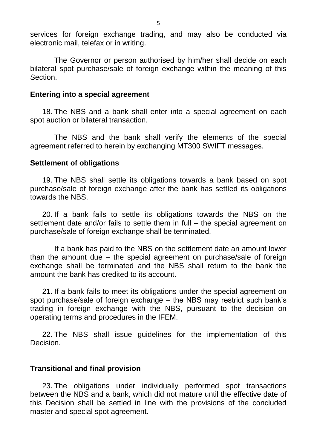services for foreign exchange trading, and may also be conducted via electronic mail, telefax or in writing.

The Governor or person authorised by him/her shall decide on each bilateral spot purchase/sale of foreign exchange within the meaning of this Section.

#### **Entering into a special agreement**

18. The NBS and a bank shall enter into a special agreement on each spot auction or bilateral transaction.

The NBS and the bank shall verify the elements of the special agreement referred to herein by exchanging MT300 SWIFT messages.

#### **Settlement of obligations**

19. The NBS shall settle its obligations towards a bank based on spot purchase/sale of foreign exchange after the bank has settled its obligations towards the NBS.

20. If a bank fails to settle its obligations towards the NBS on the settlement date and/or fails to settle them in full – the special agreement on purchase/sale of foreign exchange shall be terminated.

If a bank has paid to the NBS on the settlement date an amount lower than the amount due – the special agreement on purchase/sale of foreign exchange shall be terminated and the NBS shall return to the bank the amount the bank has credited to its account.

21. If a bank fails to meet its obligations under the special agreement on spot purchase/sale of foreign exchange – the NBS may restrict such bank's trading in foreign exchange with the NBS, pursuant to the decision on operating terms and procedures in the IFEM.

22. The NBS shall issue guidelines for the implementation of this Decision.

#### **Transitional and final provision**

23. The obligations under individually performed spot transactions between the NBS and a bank, which did not mature until the effective date of this Decision shall be settled in line with the provisions of the concluded master and special spot agreement.